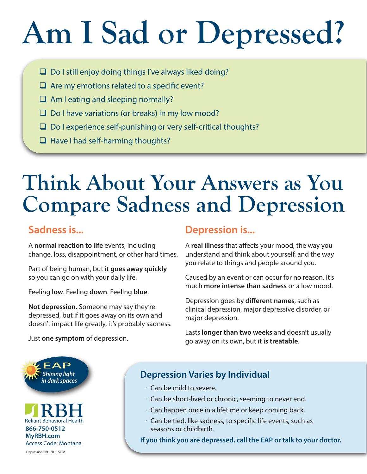# **Am I Sad or Depressed?**

- $\Box$  Do I still enjoy doing things I've always liked doing?
- $\Box$  Are my emotions related to a specific event?
- $\Box$  Am I eating and sleeping normally?
- $\Box$  Do I have variations (or breaks) in my low mood?
- $\Box$  Do I experience self-punishing or very self-critical thoughts?
- $\Box$  Have I had self-harming thoughts?

# **Think About Your Answers as You Compare Sadness and Depression**

# **Sadness is...**

A **normal reaction to life** events, including change, loss, disappointment, or other hard times.

Part of being human, but it **goes away quickly** so you can go on with your daily life.

Feeling **low**. Feeling **down**. Feeling **blue**.

**Not depression.** Someone may say they're depressed, but if it goes away on its own and doesn't impact life greatly, it's probably sadness.

#### Just **one symptom** of depression.

#### **Depression is...**

A **real illness** that affects your mood, the way you understand and think about yourself, and the way you relate to things and people around you.

Caused by an event or can occur for no reason. It's much **more intense than sadness** or a low mood.

Depression goes by **different names**, such as clinical depression, major depressive disorder, or major depression.

Lasts **longer than two weeks** and doesn't usually go away on its own, but it **is treatable**.



# **Depression Varies by Individual**

- **.** Can be mild to severe.
- **.** Can be short-lived or chronic, seeming to never end.
- **.** Can happen once in a lifetime or keep coming back.
- $\cdot$  Can be tied, like sadness, to specific life events, such as seasons or childbirth.

**If you think you are depressed, call the EAP or talk to your doctor.**